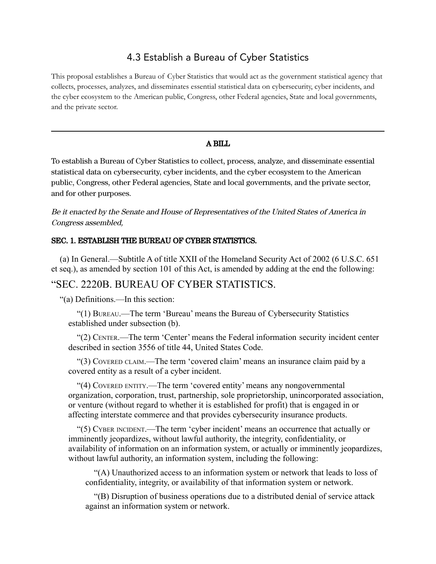## 4.3 Establish a Bureau of Cyber Statistics

This proposal establishes a Bureau of Cyber Statistics that would act as the government statistical agency that collects, processes, analyzes, and disseminates essential statistical data on cybersecurity, cyber incidents, and the cyber ecosystem to the American public, Congress, other Federal agencies, State and local governments, and the private sector.

## A BILL

To establish a Bureau of Cyber Statistics to collect, process, analyze, and disseminate essential statistical data on cybersecurity, cyber incidents, and the cyber ecosystem to the American public, Congress, other Federal agencies, State and local governments, and the private sector, and for other purposes.

Be it enacted by the Senate and House of Representatives of the United States of America in Congress assembled,

## SEC. 1. ESTABLISH THE BUREAU OF CYBER STATISTICS.

(a) In General.—Subtitle A of title XXII of the Homeland Security Act of 2002 (6 U.S.C. 651 et seq.), as amended by section 101 of this Act, is amended by adding at the end the following:

## "SEC. 2220B. BUREAU OF CYBER STATISTICS.

"(a) Definitions.—In this section:

"(1) BUREAU.—The term 'Bureau' means the Bureau of Cybersecurity Statistics established under subsection (b).

"(2) CENTER.—The term 'Center' means the Federal information security incident center described in section 3556 of title 44, United States Code.

"(3) COVERED CLAIM.—The term 'covered claim' means an insurance claim paid by a covered entity as a result of a cyber incident.

"(4) COVERED ENTITY.—The term 'covered entity' means any nongovernmental organization, corporation, trust, partnership, sole proprietorship, unincorporated association, or venture (without regard to whether it is established for profit) that is engaged in or affecting interstate commerce and that provides cybersecurity insurance products.

"(5) CYBER INCIDENT.—The term 'cyber incident' means an occurrence that actually or imminently jeopardizes, without lawful authority, the integrity, confidentiality, or availability of information on an information system, or actually or imminently jeopardizes, without lawful authority, an information system, including the following:

"(A) Unauthorized access to an information system or network that leads to loss of confidentiality, integrity, or availability of that information system or network.

"(B) Disruption of business operations due to a distributed denial of service attack against an information system or network.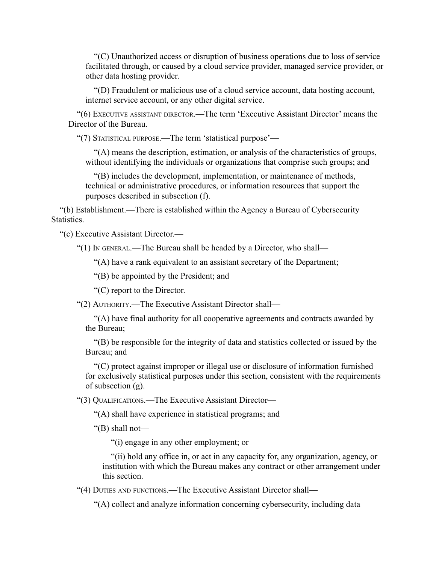"(C) Unauthorized access or disruption of business operations due to loss of service facilitated through, or caused by a cloud service provider, managed service provider, or other data hosting provider.

"(D) Fraudulent or malicious use of a cloud service account, data hosting account, internet service account, or any other digital service.

"(6) EXECUTIVE ASSISTANT DIRECTOR.—The term 'Executive Assistant Director' means the Director of the Bureau.

"(7) STATISTICAL PURPOSE.—The term 'statistical purpose'—

"(A) means the description, estimation, or analysis of the characteristics of groups, without identifying the individuals or organizations that comprise such groups; and

"(B) includes the development, implementation, or maintenance of methods, technical or administrative procedures, or information resources that support the purposes described in subsection (f).

"(b) Establishment.—There is established within the Agency a Bureau of Cybersecurity Statistics.

"(c) Executive Assistant Director.—

"(1) IN GENERAL.—The Bureau shall be headed by a Director, who shall—

"(A) have a rank equivalent to an assistant secretary of the Department;

"(B) be appointed by the President; and

"(C) report to the Director.

"(2) AUTHORITY.—The Executive Assistant Director shall—

"(A) have final authority for all cooperative agreements and contracts awarded by the Bureau;

"(B) be responsible for the integrity of data and statistics collected or issued by the Bureau; and

"(C) protect against improper or illegal use or disclosure of information furnished for exclusively statistical purposes under this section, consistent with the requirements of subsection (g).

"(3) QUALIFICATIONS.—The Executive Assistant Director—

"(A) shall have experience in statistical programs; and

"(B) shall not—

"(i) engage in any other employment; or

"(ii) hold any office in, or act in any capacity for, any organization, agency, or institution with which the Bureau makes any contract or other arrangement under this section.

"(4) DUTIES AND FUNCTIONS.—The Executive Assistant Director shall—

"(A) collect and analyze information concerning cybersecurity, including data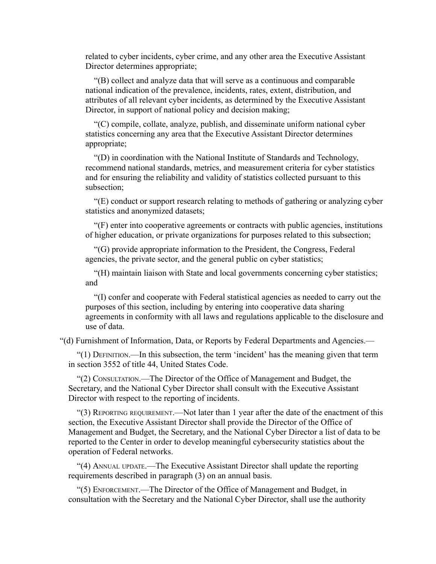related to cyber incidents, cyber crime, and any other area the Executive Assistant Director determines appropriate;

"(B) collect and analyze data that will serve as a continuous and comparable national indication of the prevalence, incidents, rates, extent, distribution, and attributes of all relevant cyber incidents, as determined by the Executive Assistant Director, in support of national policy and decision making;

"(C) compile, collate, analyze, publish, and disseminate uniform national cyber statistics concerning any area that the Executive Assistant Director determines appropriate;

"(D) in coordination with the National Institute of Standards and Technology, recommend national standards, metrics, and measurement criteria for cyber statistics and for ensuring the reliability and validity of statistics collected pursuant to this subsection;

"(E) conduct or support research relating to methods of gathering or analyzing cyber statistics and anonymized datasets;

"(F) enter into cooperative agreements or contracts with public agencies, institutions of higher education, or private organizations for purposes related to this subsection;

"(G) provide appropriate information to the President, the Congress, Federal agencies, the private sector, and the general public on cyber statistics;

"(H) maintain liaison with State and local governments concerning cyber statistics; and

"(I) confer and cooperate with Federal statistical agencies as needed to carry out the purposes of this section, including by entering into cooperative data sharing agreements in conformity with all laws and regulations applicable to the disclosure and use of data.

"(d) Furnishment of Information, Data, or Reports by Federal Departments and Agencies.—

"(1) DEFINITION.—In this subsection, the term 'incident' has the meaning given that term in section 3552 of title 44, United States Code.

"(2) CONSULTATION.—The Director of the Office of Management and Budget, the Secretary, and the National Cyber Director shall consult with the Executive Assistant Director with respect to the reporting of incidents.

"(3) REPORTING REQUIREMENT.—Not later than 1 year after the date of the enactment of this section, the Executive Assistant Director shall provide the Director of the Office of Management and Budget, the Secretary, and the National Cyber Director a list of data to be reported to the Center in order to develop meaningful cybersecurity statistics about the operation of Federal networks.

"(4) ANNUAL UPDATE.—The Executive Assistant Director shall update the reporting requirements described in paragraph (3) on an annual basis.

"(5) ENFORCEMENT.—The Director of the Office of Management and Budget, in consultation with the Secretary and the National Cyber Director, shall use the authority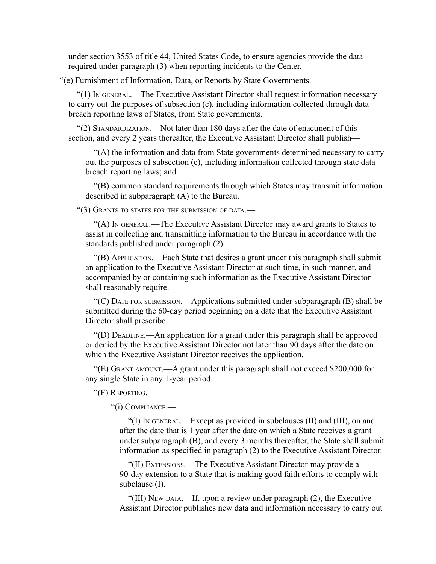under section 3553 of title 44, United States Code, to ensure agencies provide the data required under paragraph (3) when reporting incidents to the Center.

"(e) Furnishment of Information, Data, or Reports by State Governments.—

"(1) IN GENERAL.—The Executive Assistant Director shall request information necessary to carry out the purposes of subsection (c), including information collected through data breach reporting laws of States, from State governments.

"(2) STANDARDIZATION.—Not later than 180 days after the date of enactment of this section, and every 2 years thereafter, the Executive Assistant Director shall publish—

"(A) the information and data from State governments determined necessary to carry out the purposes of subsection (c), including information collected through state data breach reporting laws; and

"(B) common standard requirements through which States may transmit information described in subparagraph (A) to the Bureau.

"(3) GRANTS TO STATES FOR THE SUBMISSION OF DATA.—

"(A) IN GENERAL.—The Executive Assistant Director may award grants to States to assist in collecting and transmitting information to the Bureau in accordance with the standards published under paragraph (2).

"(B) APPLICATION.—Each State that desires a grant under this paragraph shall submit an application to the Executive Assistant Director at such time, in such manner, and accompanied by or containing such information as the Executive Assistant Director shall reasonably require.

"(C) DATE FOR SUBMISSION.—Applications submitted under subparagraph (B) shall be submitted during the 60-day period beginning on a date that the Executive Assistant Director shall prescribe.

"(D) DEADLINE.—An application for a grant under this paragraph shall be approved or denied by the Executive Assistant Director not later than 90 days after the date on which the Executive Assistant Director receives the application.

"(E) GRANT AMOUNT.—A grant under this paragraph shall not exceed \$200,000 for any single State in any 1-year period.

"(F) REPORTING.—

"(i) COMPLIANCE.—

"(I) I<sup>N</sup> GENERAL.—Except as provided in subclauses (II) and (III), on and after the date that is 1 year after the date on which a State receives a grant under subparagraph (B), and every 3 months thereafter, the State shall submit information as specified in paragraph (2) to the Executive Assistant Director.

"(II) EXTENSIONS.—The Executive Assistant Director may provide a 90-day extension to a State that is making good faith efforts to comply with subclause (I).

"(III) NEW DATA.—If, upon a review under paragraph (2), the Executive Assistant Director publishes new data and information necessary to carry out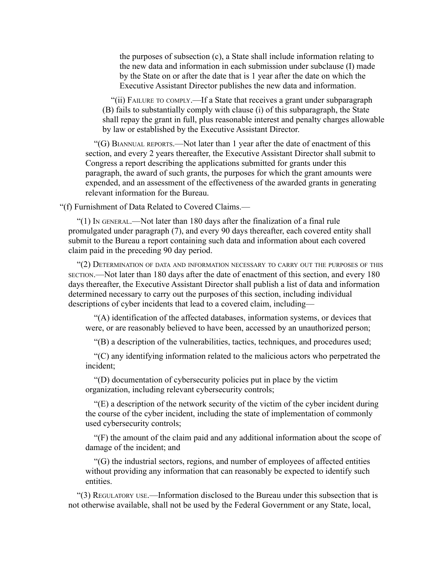the purposes of subsection (c), a State shall include information relating to the new data and information in each submission under subclause (I) made by the State on or after the date that is 1 year after the date on which the Executive Assistant Director publishes the new data and information.

"(ii) FAILURE TO COMPLY.—If a State that receives a grant under subparagraph (B) fails to substantially comply with clause (i) of this subparagraph, the State shall repay the grant in full, plus reasonable interest and penalty charges allowable by law or established by the Executive Assistant Director.

"(G) BIANNUAL REPORTS.—Not later than 1 year after the date of enactment of this section, and every 2 years thereafter, the Executive Assistant Director shall submit to Congress a report describing the applications submitted for grants under this paragraph, the award of such grants, the purposes for which the grant amounts were expended, and an assessment of the effectiveness of the awarded grants in generating relevant information for the Bureau.

"(f) Furnishment of Data Related to Covered Claims.—

"(1) IN GENERAL.—Not later than 180 days after the finalization of a final rule promulgated under paragraph (7), and every 90 days thereafter, each covered entity shall submit to the Bureau a report containing such data and information about each covered claim paid in the preceding 90 day period.

"(2) DETERMINATION OF DATA AND INFORMATION NECESSARY TO CARRY OUT THE PURPOSES OF THIS SECTION.—Not later than 180 days after the date of enactment of this section, and every 180 days thereafter, the Executive Assistant Director shall publish a list of data and information determined necessary to carry out the purposes of this section, including individual descriptions of cyber incidents that lead to a covered claim, including—

"(A) identification of the affected databases, information systems, or devices that were, or are reasonably believed to have been, accessed by an unauthorized person;

"(B) a description of the vulnerabilities, tactics, techniques, and procedures used;

"(C) any identifying information related to the malicious actors who perpetrated the incident;

"(D) documentation of cybersecurity policies put in place by the victim organization, including relevant cybersecurity controls;

"(E) a description of the network security of the victim of the cyber incident during the course of the cyber incident, including the state of implementation of commonly used cybersecurity controls;

"(F) the amount of the claim paid and any additional information about the scope of damage of the incident; and

"(G) the industrial sectors, regions, and number of employees of affected entities without providing any information that can reasonably be expected to identify such entities.

"(3) REGULATORY USE.—Information disclosed to the Bureau under this subsection that is not otherwise available, shall not be used by the Federal Government or any State, local,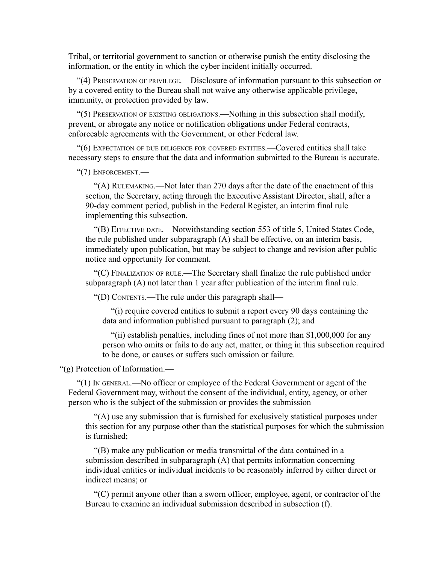Tribal, or territorial government to sanction or otherwise punish the entity disclosing the information, or the entity in which the cyber incident initially occurred.

"(4) PRESERVATION OF PRIVILEGE.—Disclosure of information pursuant to this subsection or by a covered entity to the Bureau shall not waive any otherwise applicable privilege, immunity, or protection provided by law.

"(5) PRESERVATION OF EXISTING OBLIGATIONS.—Nothing in this subsection shall modify, prevent, or abrogate any notice or notification obligations under Federal contracts, enforceable agreements with the Government, or other Federal law.

"(6) EXPECTATION OF DUE DILIGENCE FOR COVERED ENTITIES.—Covered entities shall take necessary steps to ensure that the data and information submitted to the Bureau is accurate.

"(7) ENFORCEMENT.—

"(A) RULEMAKING.—Not later than 270 days after the date of the enactment of this section, the Secretary, acting through the Executive Assistant Director, shall, after a 90-day comment period, publish in the Federal Register, an interim final rule implementing this subsection.

"(B) EFFECTIVE DATE.—Notwithstanding section 553 of title 5, United States Code, the rule published under subparagraph (A) shall be effective, on an interim basis, immediately upon publication, but may be subject to change and revision after public notice and opportunity for comment.

"(C) FINALIZATION OF RULE.—The Secretary shall finalize the rule published under subparagraph (A) not later than 1 year after publication of the interim final rule.

"(D) CONTENTS.—The rule under this paragraph shall—

"(i) require covered entities to submit a report every 90 days containing the data and information published pursuant to paragraph (2); and

"(ii) establish penalties, including fines of not more than \$1,000,000 for any person who omits or fails to do any act, matter, or thing in this subsection required to be done, or causes or suffers such omission or failure.

"(g) Protection of Information.—

"(1) IN GENERAL.—No officer or employee of the Federal Government or agent of the Federal Government may, without the consent of the individual, entity, agency, or other person who is the subject of the submission or provides the submission—

"(A) use any submission that is furnished for exclusively statistical purposes under this section for any purpose other than the statistical purposes for which the submission is furnished;

"(B) make any publication or media transmittal of the data contained in a submission described in subparagraph (A) that permits information concerning individual entities or individual incidents to be reasonably inferred by either direct or indirect means; or

"(C) permit anyone other than a sworn officer, employee, agent, or contractor of the Bureau to examine an individual submission described in subsection (f).